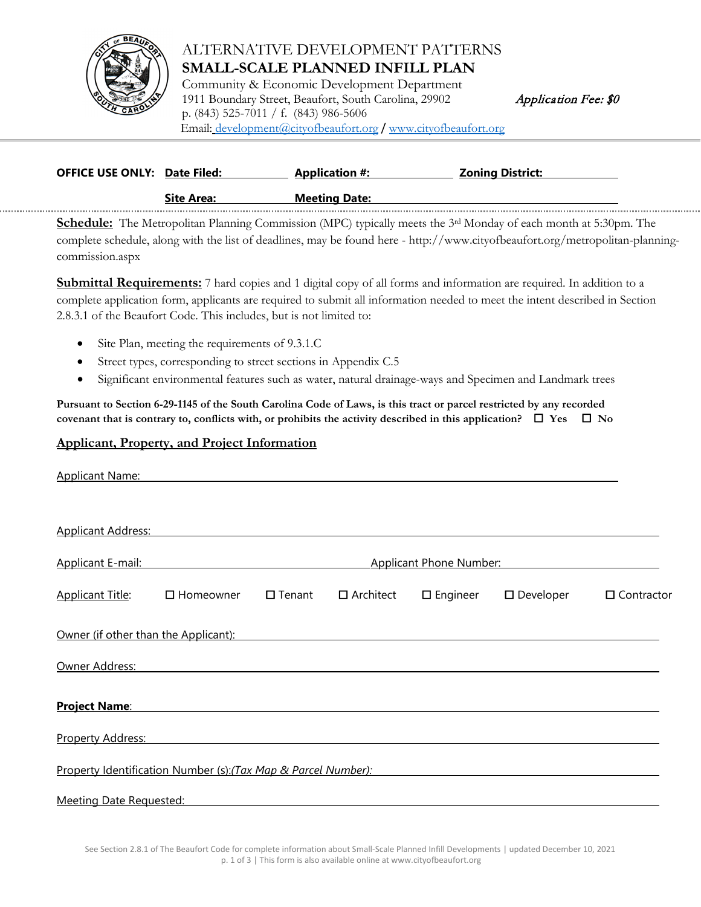

## ALTERNATIVE DEVELOPMENT PATTERNS **SMALL-SCALE PLANNED INFILL PLAN**

Community & Economic Development Department 1911 Boundary Street, Beaufort, South Carolina, 29902 *Application Fee:* \$0 p. (843) 525-7011 / f. (843) 986-5606 Email: [development@cityofbeaufort.org](mailto:development@cityofbeaufort.org) / [www.cityofbeaufort.org](http://www.cityofbeaufort.org/)

| <b>OFFICE USE ONLY: Date Filed:</b> |                   | <b>Application #:</b> | <u> Zoning District:</u> |  |  |
|-------------------------------------|-------------------|-----------------------|--------------------------|--|--|
|                                     | <b>Site Area:</b> | <b>Meeting Date:</b>  |                          |  |  |
|                                     |                   |                       |                          |  |  |

**Schedule:** The Metropolitan Planning Commission (MPC) typically meets the 3<sup>rd</sup> Monday of each month at 5:30pm. The complete schedule, along with the list of deadlines, may be found here - http://www.cityofbeaufort.org/metropolitan-planningcommission.aspx

**Submittal Requirements:** 7 hard copies and 1 digital copy of all forms and information are required. In addition to a complete application form, applicants are required to submit all information needed to meet the intent described in Section 2.8.3.1 of the Beaufort Code. This includes, but is not limited to:

- Site Plan, meeting the requirements of 9.3.1.C
- Street types, corresponding to street sections in Appendix C.5
- Significant environmental features such as water, natural drainage-ways and Specimen and Landmark trees

**Pursuant to Section 6-29-1145 of the South Carolina Code of Laws, is this tract or parcel restricted by any recorded covenant that is contrary to, conflicts with, or prohibits the activity described in this application?**  $\Box$  **Yes**  $\Box$  **No** 

## **Applicant, Property, and Project Information**

| <b>Applicant Name:</b>         |                                                               |               |                  |                    |                     |                   |
|--------------------------------|---------------------------------------------------------------|---------------|------------------|--------------------|---------------------|-------------------|
| <b>Applicant Address:</b>      |                                                               |               |                  |                    |                     |                   |
| Applicant E-mail:              | <b>Applicant Phone Number:</b>                                |               |                  |                    |                     |                   |
| <b>Applicant Title:</b>        | $\Box$ Homeowner                                              | $\Box$ Tenant | $\Box$ Architect | $\square$ Engineer | $\square$ Developer | $\Box$ Contractor |
|                                | Owner (if other than the Applicant):                          |               |                  |                    |                     |                   |
| Owner Address:                 |                                                               |               |                  |                    |                     |                   |
| <b>Project Name:</b>           |                                                               |               |                  |                    |                     |                   |
| Property Address:              |                                                               |               |                  |                    |                     |                   |
|                                | Property Identification Number (s):(Tax Map & Parcel Number): |               |                  |                    |                     |                   |
| <b>Meeting Date Requested:</b> |                                                               |               |                  |                    |                     |                   |

See Section 2.8.1 of The Beaufort Code for complete information about Small-Scale Planned Infill Developments | updated December 10, 2021 p. 1 of 3 | This form is also available online at www.cityofbeaufort.org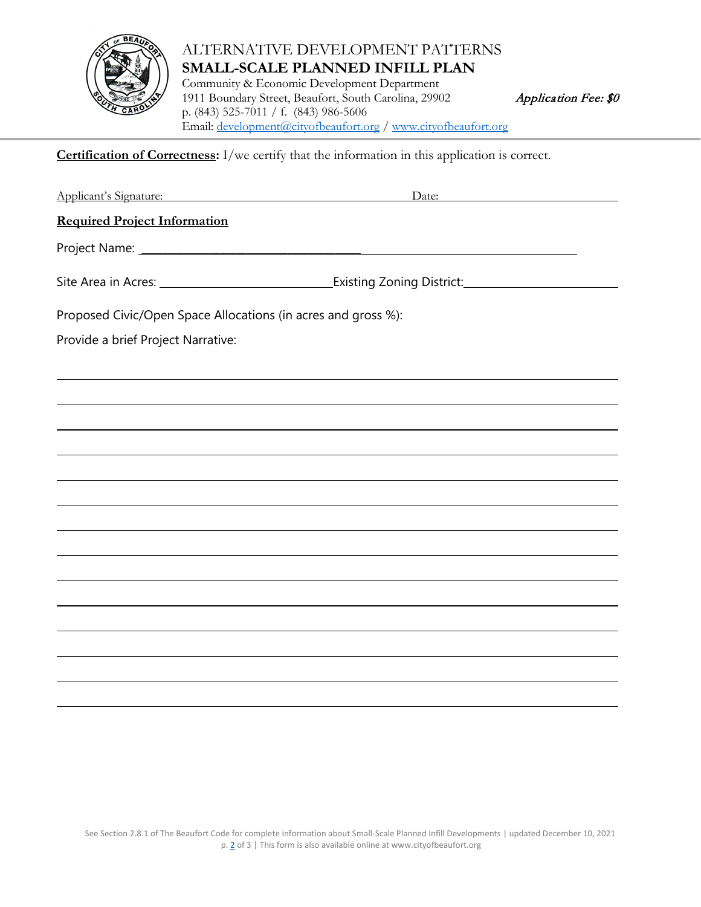

## ALTERNATIVE DEVELOPMENT PATTERNS **SMALL-SCALE PLANNED INFILL PLAN**

Community & Economic Development Department 1911 Boundary Street, Beaufort, South Carolina, 29902 Application Fee: \$0 p. (843) 525-7011 / f. (843) 986-5606 Email: [development@cityofbeaufort.org](mailto:development@cityofbeaufort.org) / [www.cityofbeaufort.org](http://www.cityofbeaufort.org/)

**Certification of Correctness:** I/we certify that the information in this application is correct.

Applicant's Signature: Date: **Required Project Information** Project Name: \_\_\_\_\_\_\_\_\_\_\_\_\_\_\_\_\_\_\_\_\_\_\_\_\_\_\_\_\_\_\_\_\_\_\_\_\_\_\_\_\_\_ Site Area in Acres: Existing Zoning District: Proposed Civic/Open Space Allocations (in acres and gross %): Provide a brief Project Narrative: